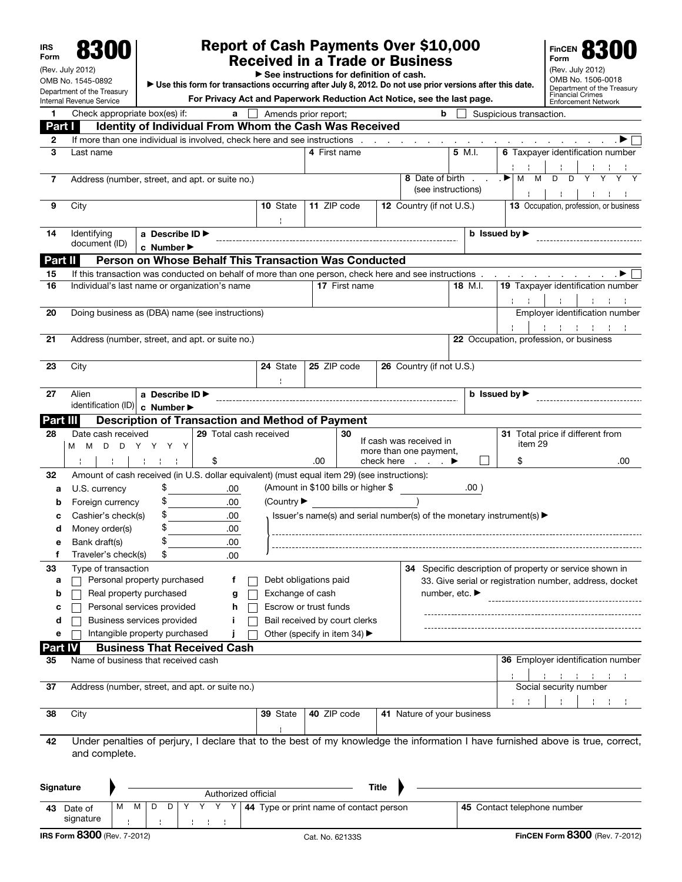| IRS. | 8300 |
|------|------|
| Form |      |

| (Rev. July 2012)  |  |
|-------------------|--|
| OMB No. 1545-0892 |  |

Department of the Treasury International Revenue<br>International

## Report of Cash Payments Over \$10,000 Received in a Trade or Business

▶ See instructions for definition of cash.

▶ Use this form for transactions occurring after July 8, 2012. Do not use prior versions after this date.

(Rev. July 2012) OMB No. 1506-0018 Department of the Treasury Financial Crimes Enforcement Network

FinCEN **8300** 

|                                                                                         | Department of the Treasury<br>Internal Revenue Service                                                                                                                                                                                            |                                                                                            | For Privacy Act and Paperwork Reduction Act Notice, see the last page. |  |                                         |             |    |              |                                                                       |              |                    |  |                                   |         |                             | <b>Financial Crimes</b><br><b>Enforcement Network</b> |                                                         |  |
|-----------------------------------------------------------------------------------------|---------------------------------------------------------------------------------------------------------------------------------------------------------------------------------------------------------------------------------------------------|--------------------------------------------------------------------------------------------|------------------------------------------------------------------------|--|-----------------------------------------|-------------|----|--------------|-----------------------------------------------------------------------|--------------|--------------------|--|-----------------------------------|---------|-----------------------------|-------------------------------------------------------|---------------------------------------------------------|--|
| 1                                                                                       |                                                                                                                                                                                                                                                   | Check appropriate box(es) if:<br>b<br>Suspicious transaction.<br>Amends prior report;<br>a |                                                                        |  |                                         |             |    |              |                                                                       |              |                    |  |                                   |         |                             |                                                       |                                                         |  |
| Part I                                                                                  |                                                                                                                                                                                                                                                   | <b>Identity of Individual From Whom the Cash Was Received</b>                              |                                                                        |  |                                         |             |    |              |                                                                       |              |                    |  |                                   |         |                             |                                                       |                                                         |  |
| 2                                                                                       | If more than one individual is involved, check here and see instructions.                                                                                                                                                                         |                                                                                            |                                                                        |  |                                         |             |    |              | the contract of the con-                                              |              |                    |  |                                   |         | the contract of the con-    |                                                       |                                                         |  |
| 3                                                                                       | 4 First name<br>5 M.I.<br>Last name                                                                                                                                                                                                               |                                                                                            |                                                                        |  |                                         |             |    |              |                                                                       |              |                    |  |                                   |         |                             | 6 Taxpayer identification number                      |                                                         |  |
|                                                                                         |                                                                                                                                                                                                                                                   |                                                                                            |                                                                        |  |                                         |             |    |              |                                                                       |              |                    |  |                                   |         |                             |                                                       |                                                         |  |
| 7                                                                                       | 8 Date of birth.<br>M<br>M<br>D<br>D<br>Address (number, street, and apt. or suite no.)                                                                                                                                                           |                                                                                            |                                                                        |  |                                         |             |    |              |                                                                       |              |                    |  |                                   |         |                             |                                                       |                                                         |  |
|                                                                                         |                                                                                                                                                                                                                                                   |                                                                                            |                                                                        |  |                                         |             |    |              |                                                                       |              | (see instructions) |  |                                   |         |                             |                                                       |                                                         |  |
| 9                                                                                       | City                                                                                                                                                                                                                                              |                                                                                            |                                                                        |  | 10 State                                | 11 ZIP code |    |              | 12 Country (if not U.S.)                                              |              |                    |  |                                   |         |                             |                                                       | 13 Occupation, profession, or business                  |  |
|                                                                                         |                                                                                                                                                                                                                                                   |                                                                                            |                                                                        |  |                                         |             |    |              |                                                                       |              |                    |  |                                   |         |                             |                                                       |                                                         |  |
| 14                                                                                      | Identifying                                                                                                                                                                                                                                       | a Describe ID ▶                                                                            |                                                                        |  |                                         |             |    |              |                                                                       |              |                    |  | b Issued by $\blacktriangleright$ |         |                             |                                                       |                                                         |  |
|                                                                                         | document (ID)                                                                                                                                                                                                                                     | c Number $\blacktriangleright$                                                             |                                                                        |  |                                         |             |    |              |                                                                       |              |                    |  |                                   |         |                             |                                                       |                                                         |  |
| Part II                                                                                 |                                                                                                                                                                                                                                                   | Person on Whose Behalf This Transaction Was Conducted                                      |                                                                        |  |                                         |             |    |              |                                                                       |              |                    |  |                                   |         |                             |                                                       |                                                         |  |
| 15                                                                                      |                                                                                                                                                                                                                                                   |                                                                                            |                                                                        |  |                                         |             |    |              |                                                                       |              |                    |  |                                   |         |                             |                                                       |                                                         |  |
| 16                                                                                      | If this transaction was conducted on behalf of more than one person, check here and see instructions.<br>and the company of the<br>17 First name<br>18 M.I.<br>19 Taxpayer identification number<br>Individual's last name or organization's name |                                                                                            |                                                                        |  |                                         |             |    |              |                                                                       |              |                    |  |                                   |         |                             |                                                       |                                                         |  |
|                                                                                         |                                                                                                                                                                                                                                                   |                                                                                            |                                                                        |  |                                         |             |    |              |                                                                       |              |                    |  |                                   |         |                             |                                                       |                                                         |  |
| Employer identification number<br>Doing business as (DBA) name (see instructions)<br>20 |                                                                                                                                                                                                                                                   |                                                                                            |                                                                        |  |                                         |             |    |              |                                                                       |              |                    |  |                                   |         |                             |                                                       |                                                         |  |
| <b>Sales Andrea</b>                                                                     |                                                                                                                                                                                                                                                   |                                                                                            |                                                                        |  |                                         |             |    |              |                                                                       |              |                    |  |                                   |         |                             |                                                       |                                                         |  |
| 21                                                                                      | Address (number, street, and apt. or suite no.)                                                                                                                                                                                                   |                                                                                            |                                                                        |  |                                         |             |    |              |                                                                       |              |                    |  |                                   |         |                             |                                                       |                                                         |  |
| 22 Occupation, profession, or business                                                  |                                                                                                                                                                                                                                                   |                                                                                            |                                                                        |  |                                         |             |    |              |                                                                       |              |                    |  |                                   |         |                             |                                                       |                                                         |  |
| 23                                                                                      | City                                                                                                                                                                                                                                              |                                                                                            |                                                                        |  | 24 State                                | 25 ZIP code |    |              | 26 Country (if not U.S.)                                              |              |                    |  |                                   |         |                             |                                                       |                                                         |  |
|                                                                                         |                                                                                                                                                                                                                                                   |                                                                                            |                                                                        |  |                                         |             |    |              |                                                                       |              |                    |  |                                   |         |                             |                                                       |                                                         |  |
| 27                                                                                      | Alien                                                                                                                                                                                                                                             | a Describe ID ▶                                                                            |                                                                        |  |                                         |             |    |              |                                                                       |              |                    |  | b Issued by $\blacktriangleright$ |         |                             |                                                       |                                                         |  |
|                                                                                         | identification $\left(\mathsf{ID}\right)\right $ c Number                                                                                                                                                                                         |                                                                                            |                                                                        |  |                                         |             |    |              |                                                                       |              |                    |  |                                   |         |                             |                                                       |                                                         |  |
| Part III                                                                                |                                                                                                                                                                                                                                                   | <b>Description of Transaction and Method of Payment</b>                                    |                                                                        |  |                                         |             |    |              |                                                                       |              |                    |  |                                   |         |                             |                                                       |                                                         |  |
| 28                                                                                      | Date cash received                                                                                                                                                                                                                                |                                                                                            | 29 Total cash received                                                 |  |                                         |             | 30 |              |                                                                       |              |                    |  |                                   |         |                             | 31 Total price if different from                      |                                                         |  |
|                                                                                         | D<br>D<br>м<br>M                                                                                                                                                                                                                                  | Y<br>Y<br>Y<br>Y                                                                           |                                                                        |  |                                         |             |    |              | If cash was received in                                               |              |                    |  |                                   | item 29 |                             |                                                       |                                                         |  |
|                                                                                         |                                                                                                                                                                                                                                                   |                                                                                            | \$                                                                     |  |                                         | .00         |    |              | more than one payment,<br>check here                                  |              |                    |  | \$                                |         |                             |                                                       | .00                                                     |  |
| 32                                                                                      | Amount of cash received (in U.S. dollar equivalent) (must equal item 29) (see instructions):                                                                                                                                                      |                                                                                            |                                                                        |  |                                         |             |    |              |                                                                       |              |                    |  |                                   |         |                             |                                                       |                                                         |  |
| а                                                                                       | U.S. currency                                                                                                                                                                                                                                     | \$                                                                                         | .00                                                                    |  | (Amount in \$100 bills or higher \$     |             |    |              |                                                                       |              | .00)               |  |                                   |         |                             |                                                       |                                                         |  |
| b                                                                                       | Foreign currency                                                                                                                                                                                                                                  |                                                                                            | .00                                                                    |  | (Country ▶                              |             |    |              |                                                                       |              |                    |  |                                   |         |                             |                                                       |                                                         |  |
| c                                                                                       | Cashier's check(s)                                                                                                                                                                                                                                |                                                                                            | .00                                                                    |  |                                         |             |    |              | Issuer's name(s) and serial number(s) of the monetary instrument(s) > |              |                    |  |                                   |         |                             |                                                       |                                                         |  |
| d                                                                                       | Money order(s)                                                                                                                                                                                                                                    |                                                                                            | .00                                                                    |  |                                         |             |    |              |                                                                       |              |                    |  |                                   |         |                             |                                                       |                                                         |  |
| е                                                                                       | Bank draft(s)                                                                                                                                                                                                                                     |                                                                                            | .00                                                                    |  |                                         |             |    |              |                                                                       |              |                    |  |                                   |         |                             |                                                       |                                                         |  |
| f                                                                                       | Traveler's check(s)                                                                                                                                                                                                                               | \$                                                                                         | .00                                                                    |  |                                         |             |    |              |                                                                       |              |                    |  |                                   |         |                             |                                                       |                                                         |  |
| 33                                                                                      | Type of transaction                                                                                                                                                                                                                               |                                                                                            |                                                                        |  |                                         |             |    |              | 34 Specific description of property or service shown in               |              |                    |  |                                   |         |                             |                                                       |                                                         |  |
| а                                                                                       |                                                                                                                                                                                                                                                   | Personal property purchased                                                                | f                                                                      |  | Debt obligations paid                   |             |    |              |                                                                       |              |                    |  |                                   |         |                             |                                                       | 33. Give serial or registration number, address, docket |  |
| b                                                                                       | Real property purchased                                                                                                                                                                                                                           |                                                                                            | g                                                                      |  | Exchange of cash                        |             |    |              |                                                                       | number, etc. |                    |  |                                   |         |                             |                                                       |                                                         |  |
| c                                                                                       |                                                                                                                                                                                                                                                   | Personal services provided                                                                 | h                                                                      |  | Escrow or trust funds                   |             |    |              |                                                                       |              |                    |  |                                   |         |                             |                                                       |                                                         |  |
| d                                                                                       |                                                                                                                                                                                                                                                   | Business services provided                                                                 |                                                                        |  | Bail received by court clerks           |             |    |              |                                                                       |              |                    |  |                                   |         |                             |                                                       |                                                         |  |
| е                                                                                       |                                                                                                                                                                                                                                                   | Intangible property purchased                                                              |                                                                        |  | Other (specify in item 34) ▶            |             |    |              |                                                                       |              |                    |  |                                   |         |                             |                                                       |                                                         |  |
| <b>Part IV</b>                                                                          |                                                                                                                                                                                                                                                   | <b>Business That Received Cash</b>                                                         |                                                                        |  |                                         |             |    |              |                                                                       |              |                    |  |                                   |         |                             |                                                       |                                                         |  |
| 35                                                                                      | Name of business that received cash                                                                                                                                                                                                               |                                                                                            |                                                                        |  |                                         |             |    |              |                                                                       |              |                    |  |                                   |         |                             |                                                       | 36 Employer identification number                       |  |
|                                                                                         |                                                                                                                                                                                                                                                   |                                                                                            |                                                                        |  |                                         |             |    |              |                                                                       |              |                    |  |                                   |         |                             | .                                                     | ÷.                                                      |  |
| 37                                                                                      | Address (number, street, and apt. or suite no.)                                                                                                                                                                                                   |                                                                                            |                                                                        |  |                                         |             |    |              |                                                                       |              |                    |  |                                   |         |                             | Social security number                                |                                                         |  |
|                                                                                         |                                                                                                                                                                                                                                                   |                                                                                            |                                                                        |  |                                         |             |    |              |                                                                       |              |                    |  |                                   |         |                             |                                                       |                                                         |  |
| 38                                                                                      | City                                                                                                                                                                                                                                              |                                                                                            |                                                                        |  | 39 State                                | 40 ZIP code |    |              | 41 Nature of your business                                            |              |                    |  |                                   |         |                             |                                                       |                                                         |  |
|                                                                                         |                                                                                                                                                                                                                                                   |                                                                                            |                                                                        |  |                                         |             |    |              |                                                                       |              |                    |  |                                   |         |                             |                                                       |                                                         |  |
| 42                                                                                      | Under penalties of perjury, I declare that to the best of my knowledge the information I have furnished above is true, correct,                                                                                                                   |                                                                                            |                                                                        |  |                                         |             |    |              |                                                                       |              |                    |  |                                   |         |                             |                                                       |                                                         |  |
|                                                                                         | and complete.                                                                                                                                                                                                                                     |                                                                                            |                                                                        |  |                                         |             |    |              |                                                                       |              |                    |  |                                   |         |                             |                                                       |                                                         |  |
|                                                                                         |                                                                                                                                                                                                                                                   |                                                                                            |                                                                        |  |                                         |             |    |              |                                                                       |              |                    |  |                                   |         |                             |                                                       |                                                         |  |
|                                                                                         |                                                                                                                                                                                                                                                   |                                                                                            |                                                                        |  |                                         |             |    |              |                                                                       |              |                    |  |                                   |         |                             |                                                       |                                                         |  |
| Signature                                                                               |                                                                                                                                                                                                                                                   |                                                                                            | Authorized official                                                    |  |                                         |             |    | <b>Title</b> |                                                                       |              |                    |  |                                   |         |                             |                                                       |                                                         |  |
|                                                                                         | м<br>43 Date of                                                                                                                                                                                                                                   | D<br>D<br>Υ<br>М                                                                           | Y<br>Υ<br>Y                                                            |  | 44 Type or print name of contact person |             |    |              |                                                                       |              |                    |  |                                   |         | 45 Contact telephone number |                                                       |                                                         |  |
|                                                                                         | signature                                                                                                                                                                                                                                         |                                                                                            |                                                                        |  |                                         |             |    |              |                                                                       |              |                    |  |                                   |         |                             |                                                       |                                                         |  |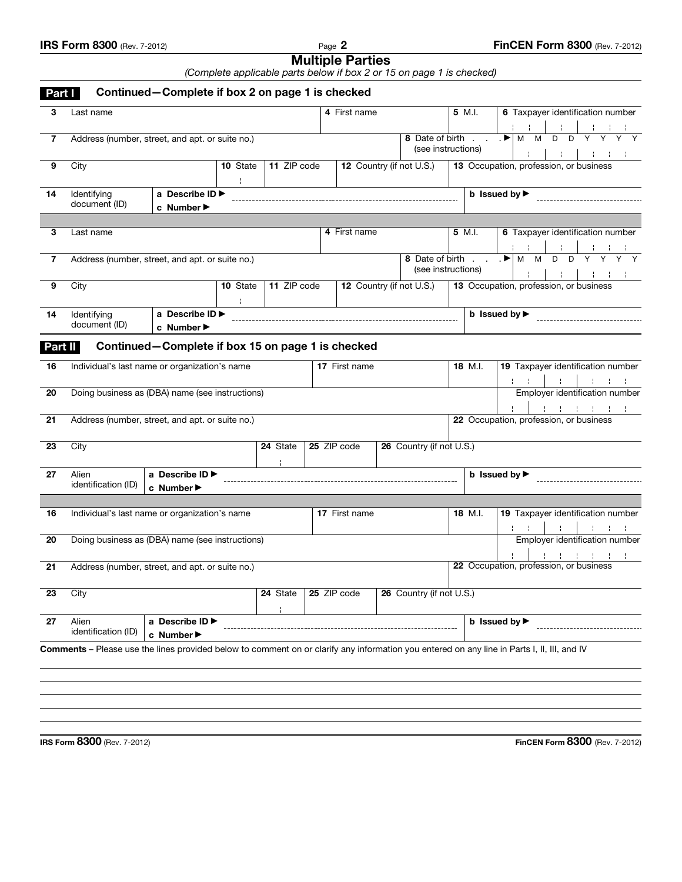### Multiple Parties

*(Complete applicable parts below if box 2 or 15 on page 1 is checked)* 

| Part I         |                                                                                                                                             | Continued-Complete if box 2 on page 1 is checked  |                |                                       |  |               |         |                                                                        |                                        |                                                                                                                        |  |                                                |                                   |                |                                    |
|----------------|---------------------------------------------------------------------------------------------------------------------------------------------|---------------------------------------------------|----------------|---------------------------------------|--|---------------|---------|------------------------------------------------------------------------|----------------------------------------|------------------------------------------------------------------------------------------------------------------------|--|------------------------------------------------|-----------------------------------|----------------|------------------------------------|
| 3              | Last name                                                                                                                                   |                                                   |                | 4 First name                          |  |               | 5 M.I.  |                                                                        |                                        |                                                                                                                        |  |                                                | 6 Taxpayer identification number  |                |                                    |
| $\overline{7}$ | Address (number, street, and apt. or suite no.)                                                                                             |                                                   |                | 8 Date of birth<br>(see instructions) |  |               |         |                                                                        | $\blacktriangleright$ M M              | $D$ D<br>$\frac{1}{2}$ , $\frac{1}{2}$ , $\frac{1}{2}$ , $\frac{1}{2}$ , $\frac{1}{2}$ , $\frac{1}{2}$ , $\frac{1}{2}$ |  | $\overline{Y}$                                 | Y<br>$\pm 1$                      |                |                                    |
| 9              | City                                                                                                                                        |                                                   | 11 ZIP code    | 12 Country (if not U.S.)              |  |               |         | 13 Occupation, profession, or business                                 |                                        |                                                                                                                        |  |                                                |                                   |                |                                    |
| 14             | Identifying<br>document (ID)                                                                                                                | a Describe ID ▶<br>c Number $\blacktriangleright$ |                |                                       |  |               |         | b Issued by $\blacktriangleright$<br>_________________________________ |                                        |                                                                                                                        |  |                                                |                                   |                |                                    |
| 3              | Last name                                                                                                                                   |                                                   |                |                                       |  | 4 First name  |         |                                                                        | 5 M.I.                                 |                                                                                                                        |  |                                                |                                   |                | 6 Taxpayer identification number   |
|                |                                                                                                                                             |                                                   |                |                                       |  |               |         |                                                                        |                                        |                                                                                                                        |  |                                                |                                   |                |                                    |
| 7              | Address (number, street, and apt. or suite no.)                                                                                             |                                                   |                |                                       |  |               |         |                                                                        | 8 Date of birth<br>(see instructions)  |                                                                                                                        |  | $M$ $M$ $D$ $D$<br>$1 - 1 - 1 - 1 - 1 - 1 - 1$ |                                   | $\overline{Y}$ | Y<br>- 11                          |
| 9              | City                                                                                                                                        |                                                   | 10 State<br>÷. | 11 ZIP code                           |  |               |         | 12 Country (if not U.S.)                                               | 13 Occupation, profession, or business |                                                                                                                        |  |                                                |                                   |                |                                    |
| 14             | Identifying<br>document (ID)                                                                                                                | a Describe ID ▶<br>c Number $\blacktriangleright$ |                |                                       |  |               |         |                                                                        | b Issued by $\blacktriangleright$      |                                                                                                                        |  |                                                |                                   |                | __________________________________ |
| Part II        |                                                                                                                                             | Continued-Complete if box 15 on page 1 is checked |                |                                       |  |               |         |                                                                        |                                        |                                                                                                                        |  |                                                |                                   |                |                                    |
| 16             | Individual's last name or organization's name                                                                                               |                                                   |                |                                       |  | 17 First name | 18 M.I. |                                                                        | 1000100                                |                                                                                                                        |  |                                                | 19 Taxpayer identification number |                |                                    |
| 20             | Doing business as (DBA) name (see instructions)                                                                                             |                                                   |                |                                       |  |               |         |                                                                        |                                        |                                                                                                                        |  | Employer identification number                 |                                   |                |                                    |
| 21             | Address (number, street, and apt. or suite no.)                                                                                             |                                                   |                |                                       |  |               |         | <b>Research Controllers</b><br>22 Occupation, profession, or business  |                                        |                                                                                                                        |  |                                                |                                   |                |                                    |
| 23             | City                                                                                                                                        |                                                   |                | 24 State                              |  | 25 ZIP code   |         | 26 Country (if not U.S.)                                               |                                        |                                                                                                                        |  |                                                |                                   |                |                                    |
| 27             | Alien<br>identification (ID)                                                                                                                | a Describe ID ><br>c Number $\blacktriangleright$ |                |                                       |  |               |         |                                                                        | b Issued by $\blacktriangleright$      |                                                                                                                        |  |                                                |                                   |                |                                    |
|                |                                                                                                                                             |                                                   |                |                                       |  | 17 First name |         |                                                                        | 18 M.I.                                |                                                                                                                        |  |                                                |                                   |                | 19 Taxpayer identification number  |
| 16             | Individual's last name or organization's name                                                                                               |                                                   |                |                                       |  | $1 - 1 - 1$   |         |                                                                        |                                        |                                                                                                                        |  |                                                |                                   |                |                                    |
| 20             | Doing business as (DBA) name (see instructions)                                                                                             |                                                   |                |                                       |  |               |         |                                                                        |                                        |                                                                                                                        |  |                                                |                                   | 1. 1. 1. 1. 1. | Employer identification number     |
| 21             | Address (number, street, and apt. or suite no.)                                                                                             |                                                   |                |                                       |  |               |         |                                                                        | 22 Occupation, profession, or business |                                                                                                                        |  |                                                |                                   |                |                                    |
| 23             | City                                                                                                                                        |                                                   |                | 24 State                              |  | 25 ZIP code   |         | 26 Country (if not U.S.)                                               |                                        |                                                                                                                        |  |                                                |                                   |                |                                    |
| 27             | a Describe ID ▶<br>Alien<br>identification (ID)<br>c Number▶                                                                                |                                                   |                |                                       |  |               |         |                                                                        | <b>b</b> Issued by ▶                   |                                                                                                                        |  |                                                |                                   |                |                                    |
|                | Comments - Please use the lines provided below to comment on or clarify any information you entered on any line in Parts I, II, III, and IV |                                                   |                |                                       |  |               |         |                                                                        |                                        |                                                                                                                        |  |                                                |                                   |                |                                    |
|                |                                                                                                                                             |                                                   |                |                                       |  |               |         |                                                                        |                                        |                                                                                                                        |  |                                                |                                   |                |                                    |
|                |                                                                                                                                             |                                                   |                |                                       |  |               |         |                                                                        |                                        |                                                                                                                        |  |                                                |                                   |                |                                    |
|                |                                                                                                                                             |                                                   |                |                                       |  |               |         |                                                                        |                                        |                                                                                                                        |  |                                                |                                   |                |                                    |
|                |                                                                                                                                             |                                                   |                |                                       |  |               |         |                                                                        |                                        |                                                                                                                        |  |                                                |                                   |                |                                    |

IRS Form 8300 (Rev. 7-2012) FinCEN Form 8300 (Rev. 7-2012)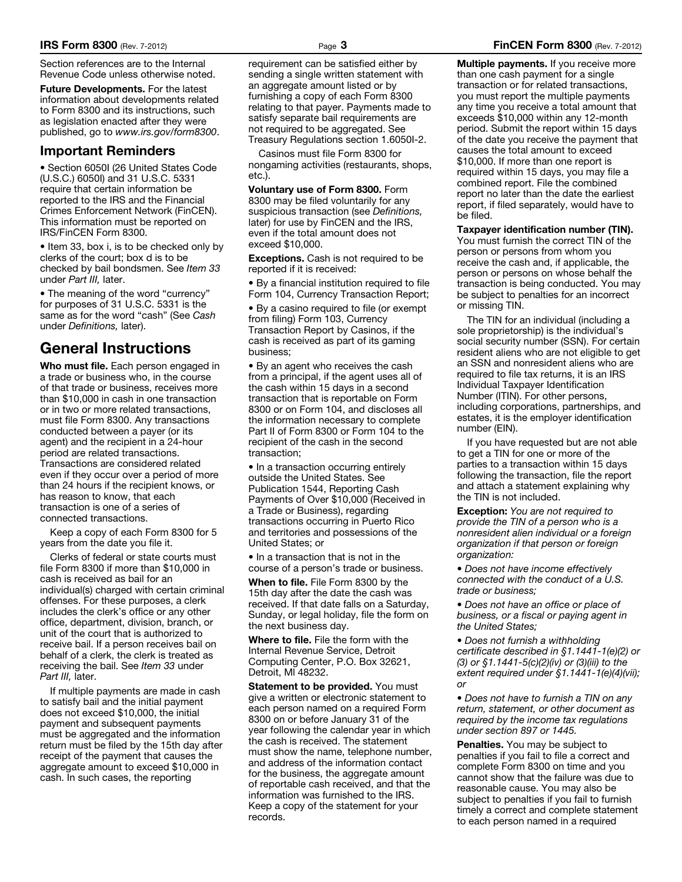Section references are to the Internal Revenue Code unless otherwise noted.

Future Developments. For the latest information about developments related to Form 8300 and its instructions, such as legislation enacted after they were published, go to *www.irs.gov/form8300*.

### Important Reminders

• Section 6050I (26 United States Code (U.S.C.) 6050I) and 31 U.S.C. 5331 require that certain information be reported to the IRS and the Financial Crimes Enforcement Network (FinCEN). This information must be reported on IRS/FinCEN Form 8300.

• Item 33, box i, is to be checked only by clerks of the court; box d is to be checked by bail bondsmen. See *Item 33* under *Part III,* later.

• The meaning of the word "currency" for purposes of 31 U.S.C. 5331 is the same as for the word "cash" (See *Cash*  under *Definitions,* later).

# General Instructions

Who must file. Each person engaged in a trade or business who, in the course of that trade or business, receives more than \$10,000 in cash in one transaction or in two or more related transactions, must file Form 8300. Any transactions conducted between a payer (or its agent) and the recipient in a 24-hour period are related transactions. Transactions are considered related even if they occur over a period of more than 24 hours if the recipient knows, or has reason to know, that each transaction is one of a series of connected transactions.

Keep a copy of each Form 8300 for 5 years from the date you file it.

Clerks of federal or state courts must file Form 8300 if more than \$10,000 in cash is received as bail for an individual(s) charged with certain criminal offenses. For these purposes, a clerk includes the clerk's office or any other office, department, division, branch, or unit of the court that is authorized to receive bail. If a person receives bail on behalf of a clerk, the clerk is treated as receiving the bail. See *Item 33* under *Part III,* later.

If multiple payments are made in cash to satisfy bail and the initial payment does not exceed \$10,000, the initial payment and subsequent payments must be aggregated and the information return must be filed by the 15th day after receipt of the payment that causes the aggregate amount to exceed \$10,000 in cash. In such cases, the reporting

requirement can be satisfied either by sending a single written statement with an aggregate amount listed or by furnishing a copy of each Form 8300 relating to that payer. Payments made to satisfy separate bail requirements are not required to be aggregated. See Treasury Regulations section 1.6050I-2.

Casinos must file Form 8300 for nongaming activities (restaurants, shops, etc.).

Voluntary use of Form 8300. Form 8300 may be filed voluntarily for any suspicious transaction (see *Definitions,*  later) for use by FinCEN and the IRS, even if the total amount does not exceed \$10,000.

Exceptions. Cash is not required to be reported if it is received:

• By a financial institution required to file Form 104, Currency Transaction Report;

• By a casino required to file (or exempt from filing) Form 103, Currency Transaction Report by Casinos, if the cash is received as part of its gaming business;

• By an agent who receives the cash from a principal, if the agent uses all of the cash within 15 days in a second transaction that is reportable on Form 8300 or on Form 104, and discloses all the information necessary to complete Part II of Form 8300 or Form 104 to the recipient of the cash in the second transaction;

• In a transaction occurring entirely outside the United States. See Publication 1544, Reporting Cash Payments of Over \$10,000 (Received in a Trade or Business), regarding transactions occurring in Puerto Rico and territories and possessions of the United States; or

• In a transaction that is not in the course of a person's trade or business.

When to file. File Form 8300 by the 15th day after the date the cash was received. If that date falls on a Saturday, Sunday, or legal holiday, file the form on the next business day.

Where to file. File the form with the Internal Revenue Service, Detroit Computing Center, P.O. Box 32621, Detroit, Ml 48232.

Statement to be provided. You must give a written or electronic statement to each person named on a required Form 8300 on or before January 31 of the year following the calendar year in which the cash is received. The statement must show the name, telephone number, and address of the information contact for the business, the aggregate amount of reportable cash received, and that the information was furnished to the IRS. Keep a copy of the statement for your records.

Multiple payments. If you receive more than one cash payment for a single transaction or for related transactions, you must report the multiple payments any time you receive a total amount that exceeds \$10,000 within any 12-month period. Submit the report within 15 days of the date you receive the payment that causes the total amount to exceed \$10,000. If more than one report is required within 15 days, you may file a combined report. File the combined report no later than the date the earliest report, if filed separately, would have to be filed.

Taxpayer identification number (TIN). You must furnish the correct TIN of the person or persons from whom you receive the cash and, if applicable, the person or persons on whose behalf the transaction is being conducted. You may be subject to penalties for an incorrect

or missing TIN.

The TIN for an individual (including a sole proprietorship) is the individual's social security number (SSN). For certain resident aliens who are not eligible to get an SSN and nonresident aliens who are required to file tax returns, it is an IRS Individual Taxpayer Identification Number (ITIN). For other persons, including corporations, partnerships, and estates, it is the employer identification number (EIN).

If you have requested but are not able to get a TIN for one or more of the parties to a transaction within 15 days following the transaction, file the report and attach a statement explaining why the TIN is not included.

Exception: *You are not required to provide the TIN of a person who is a nonresident alien individual or a foreign organization if that person or foreign organization:* 

• *Does not have income effectively connected with the conduct of a U.S. trade or business;* 

• *Does not have an office or place of business, or a fiscal or paying agent in the United States;* 

• *Does not furnish a withholding certificate described in §1.1441-1(e)(2) or (3) or §1.1441-5(c)(2)(iv) or (3)(iii) to the extent required under §1.1441-1(e)(4)(vii); or* 

• *Does not have to furnish a TIN on any return, statement, or other document as required by the income tax regulations under section 897 or 1445.* 

Penalties. You may be subject to penalties if you fail to file a correct and complete Form 8300 on time and you cannot show that the failure was due to reasonable cause. You may also be subject to penalties if you fail to furnish timely a correct and complete statement to each person named in a required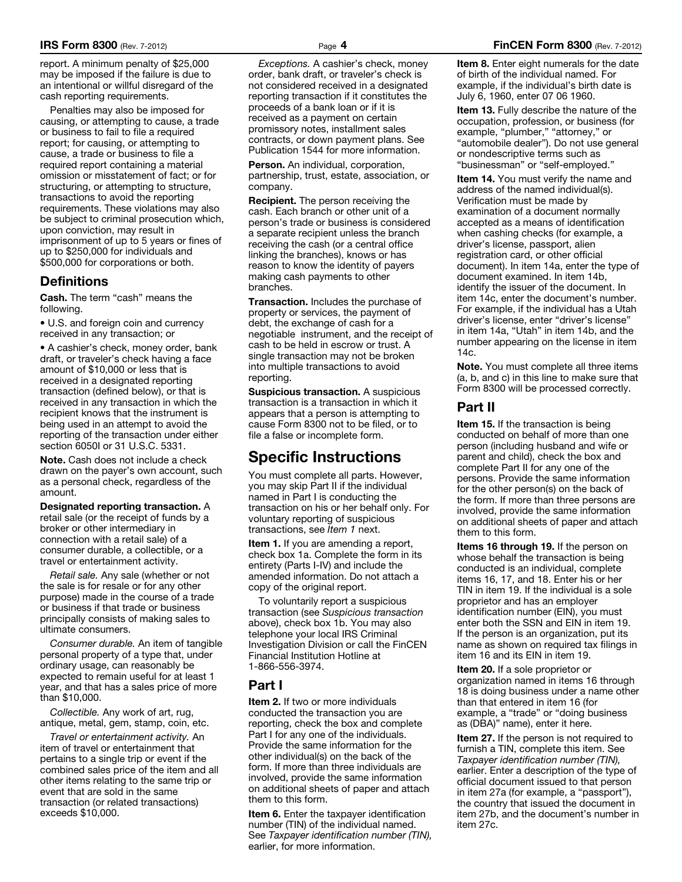report. A minimum penalty of \$25,000 may be imposed if the failure is due to an intentional or willful disregard of the cash reporting requirements.

Penalties may also be imposed for causing, or attempting to cause, a trade or business to fail to file a required report; for causing, or attempting to cause, a trade or business to file a required report containing a material omission or misstatement of fact; or for structuring, or attempting to structure, transactions to avoid the reporting requirements. These violations may also be subject to criminal prosecution which, upon conviction, may result in imprisonment of up to 5 years or fines of up to \$250,000 for individuals and \$500,000 for corporations or both.

## **Definitions**

Cash. The term "cash" means the following.

• U.S. and foreign coin and currency received in any transaction; or

• A cashier's check, money order, bank draft, or traveler's check having a face amount of \$10,000 or less that is received in a designated reporting transaction (defined below), or that is received in any transaction in which the recipient knows that the instrument is being used in an attempt to avoid the reporting of the transaction under either section 6050I or 31 U.S.C. 5331.

Note. Cash does not include a check drawn on the payer's own account, such as a personal check, regardless of the amount.

Designated reporting transaction. A retail sale (or the receipt of funds by a broker or other intermediary in connection with a retail sale) of a consumer durable, a collectible, or a travel or entertainment activity.

*Retail sale.* Any sale (whether or not the sale is for resale or for any other purpose) made in the course of a trade or business if that trade or business principally consists of making sales to ultimate consumers.

*Consumer durable.* An item of tangible personal property of a type that, under ordinary usage, can reasonably be expected to remain useful for at least 1 year, and that has a sales price of more than \$10,000.

*Collectible.* Any work of art, rug, antique, metal, gem, stamp, coin, etc.

*Travel or entertainment activity.* An item of travel or entertainment that pertains to a single trip or event if the combined sales price of the item and all other items relating to the same trip or event that are sold in the same transaction (or related transactions) exceeds \$10,000.

*Exceptions.* A cashier's check, money order, bank draft, or traveler's check is not considered received in a designated reporting transaction if it constitutes the proceeds of a bank loan or if it is received as a payment on certain promissory notes, installment sales contracts, or down payment plans. See Publication 1544 for more information.

Person. An individual, corporation, partnership, trust, estate, association, or company.

Recipient. The person receiving the cash. Each branch or other unit of a person's trade or business is considered a separate recipient unless the branch receiving the cash (or a central office linking the branches), knows or has reason to know the identity of payers making cash payments to other branches.

Transaction. Includes the purchase of property or services, the payment of debt, the exchange of cash for a negotiable instrument, and the receipt of cash to be held in escrow or trust. A single transaction may not be broken into multiple transactions to avoid reporting.

Suspicious transaction. A suspicious transaction is a transaction in which it appears that a person is attempting to cause Form 8300 not to be filed, or to file a false or incomplete form.

# Specific Instructions

You must complete all parts. However, you may skip Part II if the individual named in Part I is conducting the transaction on his or her behalf only. For voluntary reporting of suspicious transactions, see *Item 1* next.

Item 1. If you are amending a report, check box 1a. Complete the form in its entirety (Parts I-IV) and include the amended information. Do not attach a copy of the original report.

To voluntarily report a suspicious transaction (see *Suspicious transaction*  above), check box 1b. You may also telephone your local IRS Criminal Investigation Division or call the FinCEN Financial Institution Hotline at 1-866-556-3974.

## Part I

Item 2. If two or more individuals conducted the transaction you are reporting, check the box and complete Part I for any one of the individuals. Provide the same information for the other individual(s) on the back of the form. If more than three individuals are involved, provide the same information on additional sheets of paper and attach them to this form.

Item 6. Enter the taxpayer identification number (TIN) of the individual named. See *Taxpayer identification number (TIN),*  earlier, for more information.

**Item 8.** Enter eight numerals for the date of birth of the individual named. For example, if the individual's birth date is July 6, 1960, enter 07 06 1960.

Item 13. Fully describe the nature of the occupation, profession, or business (for example, "plumber," "attorney," or "automobile dealer"). Do not use general or nondescriptive terms such as "businessman" or "self-employed."

Item 14. You must verify the name and address of the named individual(s). Verification must be made by examination of a document normally accepted as a means of identification when cashing checks (for example, a driver's license, passport, alien registration card, or other official document). In item 14a, enter the type of document examined. In item 14b, identify the issuer of the document. In item 14c, enter the document's number. For example, if the individual has a Utah driver's license, enter "driver's license" in item 14a, "Utah" in item 14b, and the number appearing on the license in item  $14c.$ 

Note. You must complete all three items (a, b, and c) in this line to make sure that Form 8300 will be processed correctly.

## Part II

Item 15. If the transaction is being conducted on behalf of more than one person (including husband and wife or parent and child), check the box and complete Part II for any one of the persons. Provide the same information for the other person(s) on the back of the form. If more than three persons are involved, provide the same information on additional sheets of paper and attach them to this form.

Items 16 through 19. If the person on whose behalf the transaction is being conducted is an individual, complete items 16, 17, and 18. Enter his or her TIN in item 19. If the individual is a sole proprietor and has an employer identification number (EIN), you must enter both the SSN and EIN in item 19. If the person is an organization, put its name as shown on required tax filings in item 16 and its EIN in item 19.

Item 20. If a sole proprietor or organization named in items 16 through 18 is doing business under a name other than that entered in item 16 (for example, a "trade" or "doing business as (DBA)" name), enter it here.

**Item 27.** If the person is not required to furnish a TIN, complete this item. See *Taxpayer identification number (TIN),*  earlier. Enter a description of the type of official document issued to that person in item 27a (for example, a "passport"), the country that issued the document in item 27b, and the document's number in item 27c.